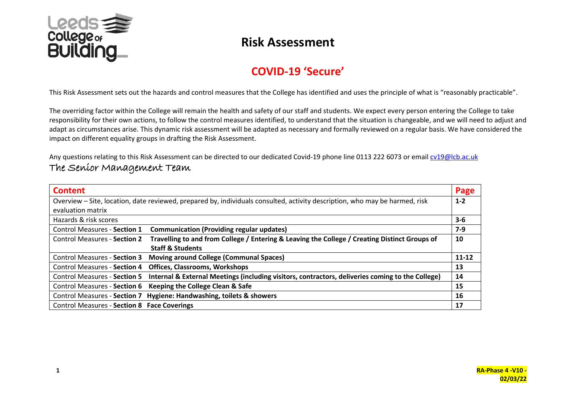

#### **COVID-19 'Secure'**

This Risk Assessment sets out the hazards and control measures that the College has identified and uses the principle of what is "reasonably practicable".

The overriding factor within the College will remain the health and safety of our staff and students. We expect every person entering the College to take responsibility for their own actions, to follow the control measures identified, to understand that the situation is changeable, and we will need to adjust and adapt as circumstances arise. This dynamic risk assessment will be adapted as necessary and formally reviewed on a regular basis. We have considered the impact on different equality groups in drafting the Risk Assessment.

Any questions relating to this Risk Assessment can be directed to our dedicated Covid-19 phone line 0113 222 6073 or email [cv19@lcb.ac.uk](mailto:cv19@lcb.ac.uk) The Senior Management Team

| <b>Content</b>                                                                                                              |                                                                                                  | Page    |  |  |  |
|-----------------------------------------------------------------------------------------------------------------------------|--------------------------------------------------------------------------------------------------|---------|--|--|--|
| Overview - Site, location, date reviewed, prepared by, individuals consulted, activity description, who may be harmed, risk |                                                                                                  |         |  |  |  |
| evaluation matrix                                                                                                           |                                                                                                  |         |  |  |  |
| Hazards & risk scores                                                                                                       |                                                                                                  | $3 - 6$ |  |  |  |
| <b>Control Measures - Section 1</b>                                                                                         | <b>Communication (Providing regular updates)</b>                                                 | $7-9$   |  |  |  |
| <b>Control Measures - Section 2</b>                                                                                         | Travelling to and from College / Entering & Leaving the College / Creating Distinct Groups of    | 10      |  |  |  |
|                                                                                                                             | <b>Staff &amp; Students</b>                                                                      |         |  |  |  |
| <b>Control Measures - Section 3</b>                                                                                         | <b>Moving around College (Communal Spaces)</b>                                                   | 11-12   |  |  |  |
| <b>Control Measures - Section 4</b>                                                                                         | <b>Offices, Classrooms, Workshops</b>                                                            | 13      |  |  |  |
| <b>Control Measures - Section 5</b>                                                                                         | Internal & External Meetings (including visitors, contractors, deliveries coming to the College) | 14      |  |  |  |
| <b>Control Measures - Section 6</b>                                                                                         | Keeping the College Clean & Safe                                                                 | 15      |  |  |  |
|                                                                                                                             | Control Measures - Section 7 Hygiene: Handwashing, toilets & showers                             | 16      |  |  |  |
| <b>Control Measures - Section 8 Face Coverings</b>                                                                          |                                                                                                  | 17      |  |  |  |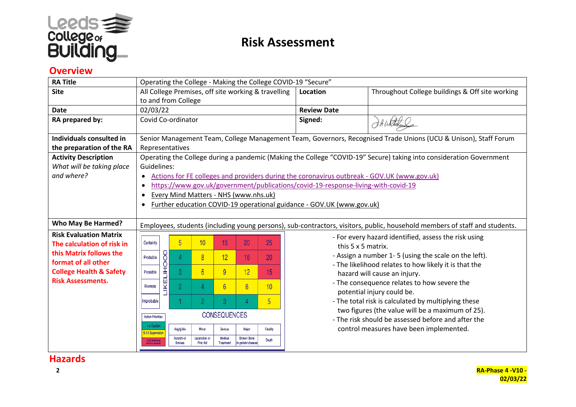

#### **Overview**

| <b>RA Title</b>                    |                                                                       | Operating the College - Making the College COVID-19 "Secure" |                                                           |          |                                                                                                                 |                                                                                                                            |  |  |  |  |  |
|------------------------------------|-----------------------------------------------------------------------|--------------------------------------------------------------|-----------------------------------------------------------|----------|-----------------------------------------------------------------------------------------------------------------|----------------------------------------------------------------------------------------------------------------------------|--|--|--|--|--|
| <b>Site</b>                        | All College Premises, off site working & travelling                   |                                                              |                                                           |          | Location                                                                                                        | Throughout College buildings & Off site working                                                                            |  |  |  |  |  |
|                                    |                                                                       | to and from College                                          |                                                           |          |                                                                                                                 |                                                                                                                            |  |  |  |  |  |
| <b>Date</b>                        | 02/03/22                                                              |                                                              |                                                           |          | <b>Review Date</b>                                                                                              |                                                                                                                            |  |  |  |  |  |
| RA prepared by:                    | Covid Co-ordinator                                                    |                                                              |                                                           |          | Signed:                                                                                                         | DA Whitekee                                                                                                                |  |  |  |  |  |
|                                    |                                                                       |                                                              |                                                           |          |                                                                                                                 |                                                                                                                            |  |  |  |  |  |
| Individuals consulted in           |                                                                       |                                                              |                                                           |          | Senior Management Team, College Management Team, Governors, Recognised Trade Unions (UCU & Unison), Staff Forum |                                                                                                                            |  |  |  |  |  |
| the preparation of the RA          | Representatives                                                       |                                                              |                                                           |          |                                                                                                                 |                                                                                                                            |  |  |  |  |  |
| <b>Activity Description</b>        |                                                                       |                                                              |                                                           |          |                                                                                                                 | Operating the College during a pandemic (Making the College "COVID-19" Secure) taking into consideration Government        |  |  |  |  |  |
| What will be taking place          | Guidelines:                                                           |                                                              |                                                           |          |                                                                                                                 |                                                                                                                            |  |  |  |  |  |
| and where?                         | $\bullet$                                                             |                                                              |                                                           |          |                                                                                                                 | Actions for FE colleges and providers during the coronavirus outbreak - GOV.UK (www.gov.uk)                                |  |  |  |  |  |
|                                    | $\bullet$                                                             |                                                              |                                                           |          | https://www.gov.uk/government/publications/covid-19-response-living-with-covid-19                               |                                                                                                                            |  |  |  |  |  |
|                                    | $\bullet$                                                             |                                                              | Every Mind Matters - NHS (www.nhs.uk)                     |          |                                                                                                                 |                                                                                                                            |  |  |  |  |  |
|                                    | $\bullet$                                                             |                                                              |                                                           |          | Further education COVID-19 operational guidance - GOV.UK (www.gov.uk)                                           |                                                                                                                            |  |  |  |  |  |
|                                    |                                                                       |                                                              |                                                           |          |                                                                                                                 |                                                                                                                            |  |  |  |  |  |
| <b>Who May Be Harmed?</b>          |                                                                       |                                                              |                                                           |          |                                                                                                                 | Employees, students (including young persons), sub-contractors, visitors, public, household members of staff and students. |  |  |  |  |  |
| <b>Risk Evaluation Matrix</b>      |                                                                       |                                                              |                                                           |          |                                                                                                                 | - For every hazard identified, assess the risk using                                                                       |  |  |  |  |  |
| The calculation of risk in         | 5<br>Certainty                                                        | 10                                                           | 15<br>20                                                  | 25       |                                                                                                                 | this 5 x 5 matrix.                                                                                                         |  |  |  |  |  |
| this Matrix follows the            | Probable<br>4                                                         | $\overline{8}$                                               | 12<br>16 <sup>1</sup>                                     | 20       |                                                                                                                 | - Assign a number 1-5 (using the scale on the left).                                                                       |  |  |  |  |  |
| format of all other                |                                                                       |                                                              |                                                           |          |                                                                                                                 | - The likelihood relates to how likely it is that the                                                                      |  |  |  |  |  |
| <b>College Health &amp; Safety</b> | <b><i>LIKELIHOOD</i></b><br>3<br>Possible                             | $6\overline{6}$                                              | 9<br>12 <sup>2</sup>                                      | 15       |                                                                                                                 | hazard will cause an injury.                                                                                               |  |  |  |  |  |
| <b>Risk Assessments.</b>           | $\overline{2}$<br>Remote                                              | 4                                                            | $\overline{8}$<br>6 <sup>°</sup>                          | 10       |                                                                                                                 | - The consequence relates to how severe the                                                                                |  |  |  |  |  |
|                                    |                                                                       |                                                              |                                                           |          |                                                                                                                 | potential injury could be.                                                                                                 |  |  |  |  |  |
|                                    | 5<br>2<br>3<br>Improbable                                             |                                                              |                                                           |          |                                                                                                                 | - The total risk is calculated by multiplying these                                                                        |  |  |  |  |  |
|                                    |                                                                       |                                                              | <b>CONSEQUENCES</b>                                       |          |                                                                                                                 | two figures (the value will be a maximum of 25).                                                                           |  |  |  |  |  |
|                                    | <b>Action Priorities</b>                                              |                                                              |                                                           |          |                                                                                                                 | - The risk should be assessed before and after the                                                                         |  |  |  |  |  |
|                                    | 1-4 Caution<br>Negligible<br>5-12 Supervision                         | Minar                                                        | Serious<br>Major                                          | Fatality |                                                                                                                 | control measures have been implemented.                                                                                    |  |  |  |  |  |
|                                    | Scratch or<br>15-25 Additional<br><b>Bruises</b><br>om troba nequiner | Laceration or<br>First Aid                                   | Medical<br>Broken Bone<br>Treatment<br>In-patient disease | Death    |                                                                                                                 |                                                                                                                            |  |  |  |  |  |
|                                    |                                                                       |                                                              |                                                           |          |                                                                                                                 |                                                                                                                            |  |  |  |  |  |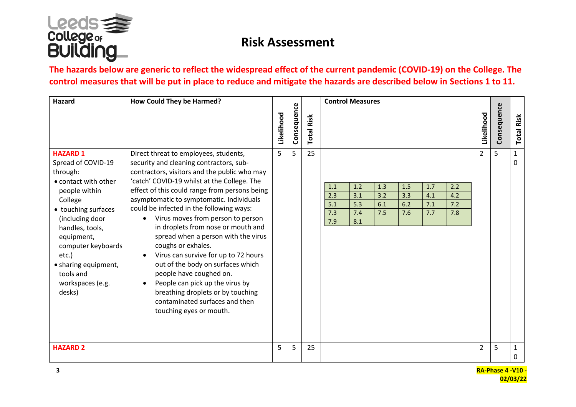

#### **The hazards below are generic to reflect the widespread effect of the current pandemic (COVID-19) on the College. The control measures that will be put in place to reduce and mitigate the hazards are described below in Sections 1 to 11.**

| Hazard                                                                                                                                                                                                                                                                             | How Could They be Harmed?                                                                                                                                                                                                                                                                                                                                                                                                                                                                                                                                                                                                                                                                                                  |            |             |                      | <b>Control Measures</b>                                                                                                                                                            |                |             |                   |
|------------------------------------------------------------------------------------------------------------------------------------------------------------------------------------------------------------------------------------------------------------------------------------|----------------------------------------------------------------------------------------------------------------------------------------------------------------------------------------------------------------------------------------------------------------------------------------------------------------------------------------------------------------------------------------------------------------------------------------------------------------------------------------------------------------------------------------------------------------------------------------------------------------------------------------------------------------------------------------------------------------------------|------------|-------------|----------------------|------------------------------------------------------------------------------------------------------------------------------------------------------------------------------------|----------------|-------------|-------------------|
|                                                                                                                                                                                                                                                                                    |                                                                                                                                                                                                                                                                                                                                                                                                                                                                                                                                                                                                                                                                                                                            | Likelihood | Consequence | Risk<br><b>Total</b> |                                                                                                                                                                                    | Likelihood     | Consequence | <b>Total Risk</b> |
| <b>HAZARD 1</b><br>Spread of COVID-19<br>through:<br>• contact with other<br>people within<br>College<br>• touching surfaces<br>(including door<br>handles, tools,<br>equipment,<br>computer keyboards<br>etc.)<br>• sharing equipment,<br>tools and<br>workspaces (e.g.<br>desks) | Direct threat to employees, students,<br>security and cleaning contractors, sub-<br>contractors, visitors and the public who may<br>'catch' COVID-19 whilst at the College. The<br>effect of this could range from persons being<br>asymptomatic to symptomatic. Individuals<br>could be infected in the following ways:<br>Virus moves from person to person<br>in droplets from nose or mouth and<br>spread when a person with the virus<br>coughs or exhales.<br>Virus can survive for up to 72 hours<br>out of the body on surfaces which<br>people have coughed on.<br>People can pick up the virus by<br>$\bullet$<br>breathing droplets or by touching<br>contaminated surfaces and then<br>touching eyes or mouth. | 5          | 5           | 25                   | 1.2<br>1.5<br>1.7<br>2.2<br>1.3<br>1.1<br>3.1<br>4.2<br>2.3<br>3.2<br>3.3<br>4.1<br>5.3<br>6.1<br>6.2<br>7.1<br>7.2<br>5.1<br>7.4<br>7.8<br>7.3<br>7.5<br>7.6<br>7.7<br>7.9<br>8.1 | $\overline{2}$ | 5           | $\mathbf{1}$<br>0 |
| <b>HAZARD 2</b>                                                                                                                                                                                                                                                                    |                                                                                                                                                                                                                                                                                                                                                                                                                                                                                                                                                                                                                                                                                                                            | 5          | 5           | 25                   |                                                                                                                                                                                    | $\overline{2}$ | 5           | $\mathbf{1}$<br>0 |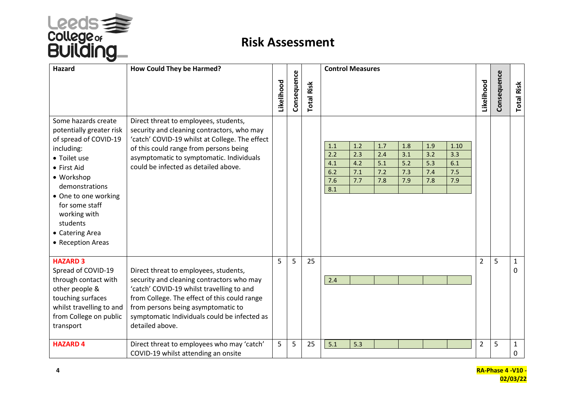

| Hazard                                                                                                                                                                                                                                                              | How Could They be Harmed?                                                                                                                                                                                                                                                                |            |             |                            | <b>Control Measures</b>                                                                                                                                                                                                |                |             |                   |
|---------------------------------------------------------------------------------------------------------------------------------------------------------------------------------------------------------------------------------------------------------------------|------------------------------------------------------------------------------------------------------------------------------------------------------------------------------------------------------------------------------------------------------------------------------------------|------------|-------------|----------------------------|------------------------------------------------------------------------------------------------------------------------------------------------------------------------------------------------------------------------|----------------|-------------|-------------------|
|                                                                                                                                                                                                                                                                     |                                                                                                                                                                                                                                                                                          | Likelihood | Consequence | Risk<br>Total <sup>1</sup> |                                                                                                                                                                                                                        | Likelihood     | Consequence | <b>Total Risk</b> |
| Some hazards create<br>potentially greater risk<br>of spread of COVID-19<br>including:<br>• Toilet use<br>• First Aid<br>• Workshop<br>demonstrations<br>• One to one working<br>for some staff<br>working with<br>students<br>• Catering Area<br>• Reception Areas | Direct threat to employees, students,<br>security and cleaning contractors, who may<br>'catch' COVID-19 whilst at College. The effect<br>of this could range from persons being<br>asymptomatic to symptomatic. Individuals<br>could be infected as detailed above.                      |            |             |                            | 1.2<br>1.7<br>1.9<br>1.1<br>1.8<br>1.10<br>2.2<br>2.3<br>2.4<br>3.1<br>3.2<br>3.3<br>4.2<br>5.1<br>5.2<br>5.3<br>4.1<br>6.1<br>7.1<br>7.2<br>7.3<br>7.4<br>7.5<br>6.2<br>7.6<br>7.7<br>7.9<br>7.8<br>7.9<br>7.8<br>8.1 |                |             |                   |
| <b>HAZARD 3</b><br>Spread of COVID-19<br>through contact with<br>other people &<br>touching surfaces<br>whilst travelling to and<br>from College on public<br>transport                                                                                             | Direct threat to employees, students,<br>security and cleaning contractors who may<br>'catch' COVID-19 whilst travelling to and<br>from College. The effect of this could range<br>from persons being asymptomatic to<br>symptomatic Individuals could be infected as<br>detailed above. | 5          | 5           | 25                         | 2.4                                                                                                                                                                                                                    | $\overline{2}$ | 5           | 1<br>0            |
| <b>HAZARD 4</b>                                                                                                                                                                                                                                                     | Direct threat to employees who may 'catch'<br>COVID-19 whilst attending an onsite                                                                                                                                                                                                        | 5          | 5           | 25                         | 5.1<br>5.3                                                                                                                                                                                                             | $\overline{2}$ | 5           | 1<br>0            |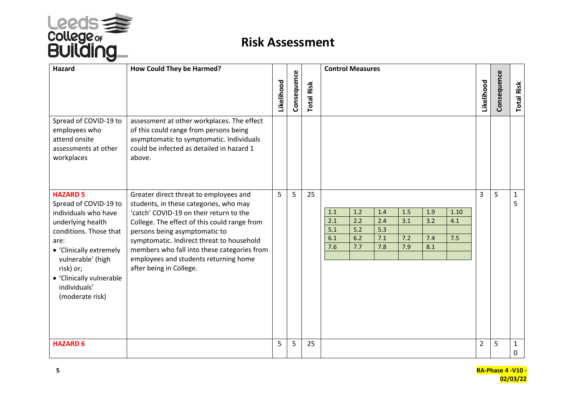

| Hazard                                                                                                                                                                                                                                              | How Could They be Harmed?                                                                                                                                                                                                                                                                                                                                                    |            |             |                   | <b>Control Measures</b>                                                                                                                                                                         |                    |
|-----------------------------------------------------------------------------------------------------------------------------------------------------------------------------------------------------------------------------------------------------|------------------------------------------------------------------------------------------------------------------------------------------------------------------------------------------------------------------------------------------------------------------------------------------------------------------------------------------------------------------------------|------------|-------------|-------------------|-------------------------------------------------------------------------------------------------------------------------------------------------------------------------------------------------|--------------------|
|                                                                                                                                                                                                                                                     |                                                                                                                                                                                                                                                                                                                                                                              | Likelihood | Consequence | <b>Total Risk</b> | Consequence<br>Likelihood                                                                                                                                                                       | <b>Total Risk</b>  |
| Spread of COVID-19 to<br>employees who<br>attend onsite<br>assessments at other<br>workplaces                                                                                                                                                       | assessment at other workplaces. The effect<br>of this could range from persons being<br>asymptomatic to symptomatic. Individuals<br>could be infected as detailed in hazard 1<br>above.                                                                                                                                                                                      |            |             |                   |                                                                                                                                                                                                 |                    |
| <b>HAZARD 5</b><br>Spread of COVID-19 to<br>individuals who have<br>underlying health<br>conditions. Those that<br>are:<br>• 'Clinically extremely<br>vulnerable' (high<br>risk) or;<br>• 'Clinically vulnerable<br>individuals'<br>(moderate risk) | Greater direct threat to employees and<br>students, in these categories, who may<br>'catch' COVID-19 on their return to the<br>College. The effect of this could range from<br>persons being asymptomatic to<br>symptomatic. Indirect threat to household<br>members who fall into these categories from<br>employees and students returning home<br>after being in College. | 5          | 5           | 25                | 3<br>5<br>1.5<br>1.2<br>1.4<br>1.9<br>1.10<br>1.1<br>2.1<br>2.2<br>3.2<br>2.4<br>3.1<br>4.1<br>5.1<br>$5.2$<br>5.3<br>7.1<br>7.2<br>6.2<br>7.5<br>6.1<br>7.4<br>7.6<br>7.8<br>7.7<br>7.9<br>8.1 | $\mathbf{1}$<br>5. |
| <b>HAZARD 6</b>                                                                                                                                                                                                                                     |                                                                                                                                                                                                                                                                                                                                                                              | 5          | 5           | 25                | 5<br>$\overline{2}$                                                                                                                                                                             | $\mathbf{1}$<br>0  |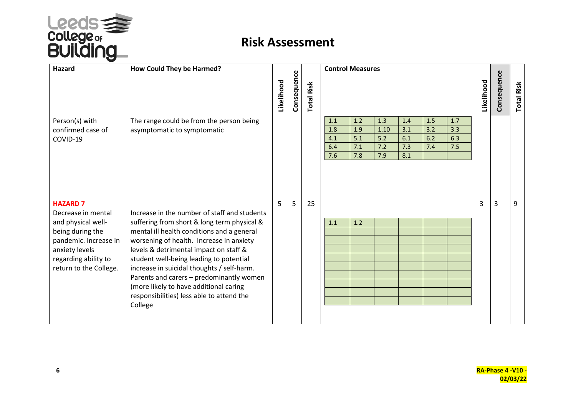

| <b>Hazard</b>                                                                                                                                                                | How Could They be Harmed?                                                                                                                                                                                                                                                                                                                                                                                                                                              | Likelihood | Consequence | <b>Total Risk</b> | <b>Control Measures</b><br>Consequence<br>Likelihood<br><b>Total Risk</b>                                                                                                                         |
|------------------------------------------------------------------------------------------------------------------------------------------------------------------------------|------------------------------------------------------------------------------------------------------------------------------------------------------------------------------------------------------------------------------------------------------------------------------------------------------------------------------------------------------------------------------------------------------------------------------------------------------------------------|------------|-------------|-------------------|---------------------------------------------------------------------------------------------------------------------------------------------------------------------------------------------------|
| Person(s) with<br>confirmed case of<br>COVID-19                                                                                                                              | The range could be from the person being<br>asymptomatic to symptomatic                                                                                                                                                                                                                                                                                                                                                                                                |            |             |                   | 1.2<br>1.5<br>1.1<br>1.3<br>1.4<br>1.7<br>1.8<br>1.9<br>3.2<br>1.10<br>3.1<br>3.3<br>6.2<br>6.3<br>4.1<br>5.1<br>5.2<br>6.1<br>7.5<br>6.4<br>7.1<br>7.2<br>7.3<br>7.4<br>8.1<br>7.6<br>7.8<br>7.9 |
| <b>HAZARD 7</b><br>Decrease in mental<br>and physical well-<br>being during the<br>pandemic. Increase in<br>anxiety levels<br>regarding ability to<br>return to the College. | Increase in the number of staff and students<br>suffering from short & long term physical &<br>mental ill health conditions and a general<br>worsening of health. Increase in anxiety<br>levels & detrimental impact on staff &<br>student well-being leading to potential<br>increase in suicidal thoughts / self-harm.<br>Parents and carers - predominantly women<br>(more likely to have additional caring<br>responsibilities) less able to attend the<br>College | 5          | 5           | 25                | 3<br>9<br>3<br>1.2<br>1.1                                                                                                                                                                         |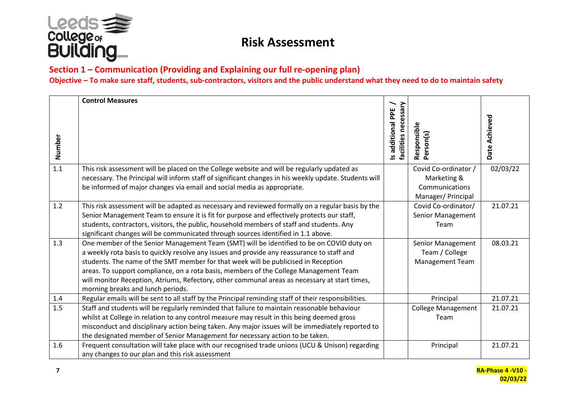

#### **Section 1 – Communication (Providing and Explaining our full re-opening plan) Objective – To make sure staff, students, sub-contractors, visitors and the public understand what they need to do to maintain safety**

|        | <b>Control Measures</b>                                                                                                            | $\overline{\phantom{0}}$                  |                           |               |
|--------|------------------------------------------------------------------------------------------------------------------------------------|-------------------------------------------|---------------------------|---------------|
|        |                                                                                                                                    | facilities necessary<br>Is additional PPE |                           |               |
| Number |                                                                                                                                    |                                           | Responsible<br>Person(s)  | Date Achieved |
| 1.1    | This risk assessment will be placed on the College website and will be regularly updated as                                        |                                           | Covid Co-ordinator /      | 02/03/22      |
|        | necessary. The Principal will inform staff of significant changes in his weekly update. Students will                              |                                           | Marketing &               |               |
|        | be informed of major changes via email and social media as appropriate.                                                            |                                           | Communications            |               |
|        |                                                                                                                                    |                                           | Manager/ Principal        |               |
| 1.2    | This risk assessment will be adapted as necessary and reviewed formally on a regular basis by the                                  |                                           | Covid Co-ordinator/       | 21.07.21      |
|        | Senior Management Team to ensure it is fit for purpose and effectively protects our staff,                                         |                                           | Senior Management         |               |
|        | students, contractors, visitors, the public, household members of staff and students. Any                                          |                                           | Team                      |               |
|        | significant changes will be communicated through sources identified in 1.1 above.                                                  |                                           |                           |               |
| 1.3    | One member of the Senior Management Team (SMT) will be identified to be on COVID duty on                                           |                                           | Senior Management         | 08.03.21      |
|        | a weekly rota basis to quickly resolve any issues and provide any reassurance to staff and                                         |                                           | Team / College            |               |
|        | students. The name of the SMT member for that week will be publicised in Reception                                                 |                                           | Management Team           |               |
|        | areas. To support compliance, on a rota basis, members of the College Management Team                                              |                                           |                           |               |
|        | will monitor Reception, Atriums, Refectory, other communal areas as necessary at start times,<br>morning breaks and lunch periods. |                                           |                           |               |
| 1.4    | Regular emails will be sent to all staff by the Principal reminding staff of their responsibilities.                               |                                           | Principal                 | 21.07.21      |
| 1.5    | Staff and students will be regularly reminded that failure to maintain reasonable behaviour                                        |                                           | <b>College Management</b> | 21.07.21      |
|        | whilst at College in relation to any control measure may result in this being deemed gross                                         |                                           | Team                      |               |
|        | misconduct and disciplinary action being taken. Any major issues will be immediately reported to                                   |                                           |                           |               |
|        | the designated member of Senior Management for necessary action to be taken.                                                       |                                           |                           |               |
| 1.6    | Frequent consultation will take place with our recognised trade unions (UCU & Unison) regarding                                    |                                           | Principal                 | 21.07.21      |
|        | any changes to our plan and this risk assessment                                                                                   |                                           |                           |               |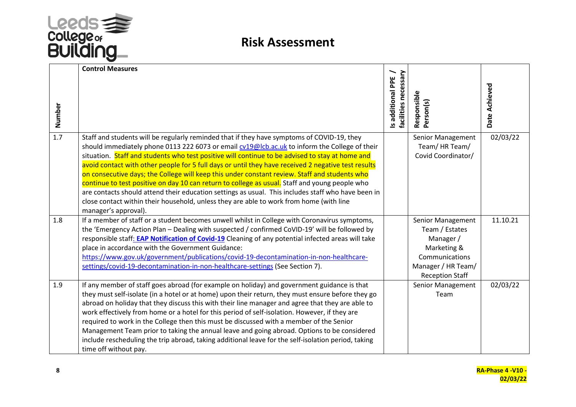

|        | <b>Control Measures</b>                                                                                                                                                                                                                                                                                                                                                                                                                                                                                                                                                                                                                                                                                                                                                                                                           | facilities necessary<br>Is additional PPE | Responsible<br>Person(s)                                        | Date Achieved |
|--------|-----------------------------------------------------------------------------------------------------------------------------------------------------------------------------------------------------------------------------------------------------------------------------------------------------------------------------------------------------------------------------------------------------------------------------------------------------------------------------------------------------------------------------------------------------------------------------------------------------------------------------------------------------------------------------------------------------------------------------------------------------------------------------------------------------------------------------------|-------------------------------------------|-----------------------------------------------------------------|---------------|
| Number |                                                                                                                                                                                                                                                                                                                                                                                                                                                                                                                                                                                                                                                                                                                                                                                                                                   |                                           |                                                                 |               |
| 1.7    | Staff and students will be regularly reminded that if they have symptoms of COVID-19, they<br>should immediately phone 0113 222 6073 or email cv19@lcb.ac.uk to inform the College of their<br>situation. Staff and students who test positive will continue to be advised to stay at home and<br>avoid contact with other people for 5 full days or until they have received 2 negative test results<br>on consecutive days; the College will keep this under constant review. Staff and students who<br>continue to test positive on day 10 can return to college as usual. Staff and young people who<br>are contacts should attend their education settings as usual. This includes staff who have been in<br>close contact within their household, unless they are able to work from home (with line<br>manager's approval). |                                           | Senior Management<br>Team/HR Team/<br>Covid Coordinator/        | 02/03/22      |
| 1.8    | If a member of staff or a student becomes unwell whilst in College with Coronavirus symptoms,<br>the 'Emergency Action Plan - Dealing with suspected / confirmed CoVID-19' will be followed by<br>responsible staff: EAP Notification of Covid-19 Cleaning of any potential infected areas will take<br>place in accordance with the Government Guidance:                                                                                                                                                                                                                                                                                                                                                                                                                                                                         |                                           | Senior Management<br>Team / Estates<br>Manager /<br>Marketing & | 11.10.21      |
|        | https://www.gov.uk/government/publications/covid-19-decontamination-in-non-healthcare-<br>settings/covid-19-decontamination-in-non-healthcare-settings (See Section 7).                                                                                                                                                                                                                                                                                                                                                                                                                                                                                                                                                                                                                                                           |                                           | Communications<br>Manager / HR Team/<br><b>Reception Staff</b>  |               |
| 1.9    | If any member of staff goes abroad (for example on holiday) and government guidance is that<br>they must self-isolate (in a hotel or at home) upon their return, they must ensure before they go<br>abroad on holiday that they discuss this with their line manager and agree that they are able to<br>work effectively from home or a hotel for this period of self-isolation. However, if they are<br>required to work in the College then this must be discussed with a member of the Senior<br>Management Team prior to taking the annual leave and going abroad. Options to be considered<br>include rescheduling the trip abroad, taking additional leave for the self-isolation period, taking<br>time off without pay.                                                                                                   |                                           | Senior Management<br>Team                                       | 02/03/22      |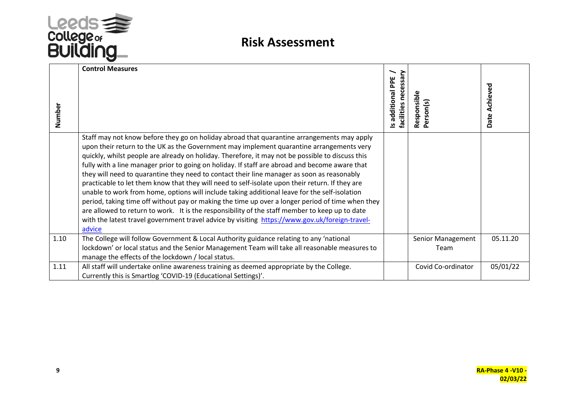

| Number | <b>Control Measures</b>                                                                                                                                                                                                                                                                                                                                                                                                                                                                                                                                                                                                                                                                                                                                                                                                                                                                                                                                                                                          | essary<br>Is additional PPE<br>nec<br><b>facilities</b> | Responsible<br>Person(s)  | Date Achieved |
|--------|------------------------------------------------------------------------------------------------------------------------------------------------------------------------------------------------------------------------------------------------------------------------------------------------------------------------------------------------------------------------------------------------------------------------------------------------------------------------------------------------------------------------------------------------------------------------------------------------------------------------------------------------------------------------------------------------------------------------------------------------------------------------------------------------------------------------------------------------------------------------------------------------------------------------------------------------------------------------------------------------------------------|---------------------------------------------------------|---------------------------|---------------|
|        | Staff may not know before they go on holiday abroad that quarantine arrangements may apply<br>upon their return to the UK as the Government may implement quarantine arrangements very<br>quickly, whilst people are already on holiday. Therefore, it may not be possible to discuss this<br>fully with a line manager prior to going on holiday. If staff are abroad and become aware that<br>they will need to quarantine they need to contact their line manager as soon as reasonably<br>practicable to let them know that they will need to self-isolate upon their return. If they are<br>unable to work from home, options will include taking additional leave for the self-isolation<br>period, taking time off without pay or making the time up over a longer period of time when they<br>are allowed to return to work. It is the responsibility of the staff member to keep up to date<br>with the latest travel government travel advice by visiting https://www.gov.uk/foreign-travel-<br>advice |                                                         |                           |               |
| 1.10   | The College will follow Government & Local Authority guidance relating to any 'national<br>lockdown' or local status and the Senior Management Team will take all reasonable measures to<br>manage the effects of the lockdown / local status.                                                                                                                                                                                                                                                                                                                                                                                                                                                                                                                                                                                                                                                                                                                                                                   |                                                         | Senior Management<br>Team | 05.11.20      |
| 1.11   | All staff will undertake online awareness training as deemed appropriate by the College.<br>Currently this is Smartlog 'COVID-19 (Educational Settings)'.                                                                                                                                                                                                                                                                                                                                                                                                                                                                                                                                                                                                                                                                                                                                                                                                                                                        |                                                         | Covid Co-ordinator        | 05/01/22      |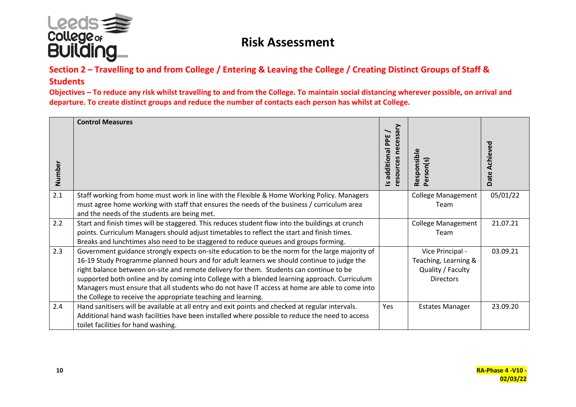

#### **Section 2 – Travelling to and from College / Entering & Leaving the College / Creating Distinct Groups of Staff & Students**

**Objectives – To reduce any risk whilst travelling to and from the College. To maintain social distancing wherever possible, on arrival and departure. To create distinct groups and reduce the number of contacts each person has whilst at College.**

|        | <b>Control Measures</b>                                                                          |                                       |                                    |               |
|--------|--------------------------------------------------------------------------------------------------|---------------------------------------|------------------------------------|---------------|
|        |                                                                                                  | resources necessary<br>additional PPE |                                    |               |
| Number |                                                                                                  | $\overline{a}$                        | Responsible<br>$r$ son $(s)$<br>ρē | Date Achieved |
| 2.1    | Staff working from home must work in line with the Flexible & Home Working Policy. Managers      |                                       | <b>College Management</b>          | 05/01/22      |
|        | must agree home working with staff that ensures the needs of the business / curriculum area      |                                       | Team                               |               |
|        | and the needs of the students are being met.                                                     |                                       |                                    |               |
| 2.2    | Start and finish times will be staggered. This reduces student flow into the buildings at crunch |                                       | <b>College Management</b>          | 21.07.21      |
|        | points. Curriculum Managers should adjust timetables to reflect the start and finish times.      |                                       | Team                               |               |
|        | Breaks and lunchtimes also need to be staggered to reduce queues and groups forming.             |                                       |                                    |               |
| 2.3    | Government guidance strongly expects on-site education to be the norm for the large majority of  |                                       | Vice Principal -                   | 03.09.21      |
|        | 16-19 Study Programme planned hours and for adult learners we should continue to judge the       |                                       | Teaching, Learning &               |               |
|        | right balance between on-site and remote delivery for them. Students can continue to be          |                                       | Quality / Faculty                  |               |
|        | supported both online and by coming into College with a blended learning approach. Curriculum    |                                       | <b>Directors</b>                   |               |
|        | Managers must ensure that all students who do not have IT access at home are able to come into   |                                       |                                    |               |
|        | the College to receive the appropriate teaching and learning.                                    |                                       |                                    |               |
| 2.4    | Hand sanitisers will be available at all entry and exit points and checked at regular intervals. | Yes                                   | <b>Estates Manager</b>             | 23.09.20      |
|        | Additional hand wash facilities have been installed where possible to reduce the need to access  |                                       |                                    |               |
|        | toilet facilities for hand washing.                                                              |                                       |                                    |               |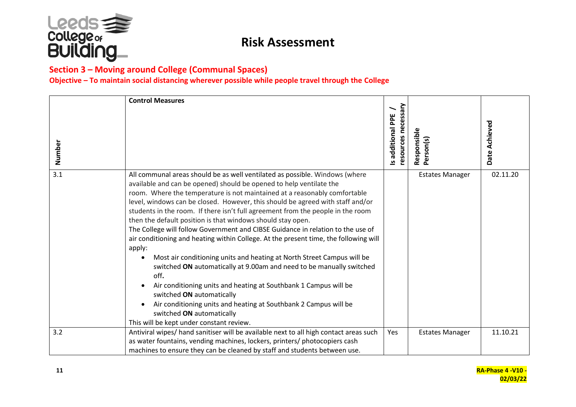

#### **Section 3 – Moving around College (Communal Spaces)**

**Objective – To maintain social distancing wherever possible while people travel through the College**

| Number | <b>Control Measures</b>                                                                                                                                                                                                                                                                                                                                                                                                                                                                                                                                                                                                                                                                                                                                                                                                                                                                                                                                                                                                                                                       | resources necessary<br>Is additional PPE | Responsible<br>Person(s) | Date Achieved |
|--------|-------------------------------------------------------------------------------------------------------------------------------------------------------------------------------------------------------------------------------------------------------------------------------------------------------------------------------------------------------------------------------------------------------------------------------------------------------------------------------------------------------------------------------------------------------------------------------------------------------------------------------------------------------------------------------------------------------------------------------------------------------------------------------------------------------------------------------------------------------------------------------------------------------------------------------------------------------------------------------------------------------------------------------------------------------------------------------|------------------------------------------|--------------------------|---------------|
| 3.1    | All communal areas should be as well ventilated as possible. Windows (where<br>available and can be opened) should be opened to help ventilate the<br>room. Where the temperature is not maintained at a reasonably comfortable<br>level, windows can be closed. However, this should be agreed with staff and/or<br>students in the room. If there isn't full agreement from the people in the room<br>then the default position is that windows should stay open.<br>The College will follow Government and CIBSE Guidance in relation to the use of<br>air conditioning and heating within College. At the present time, the following will<br>apply:<br>Most air conditioning units and heating at North Street Campus will be<br>$\bullet$<br>switched ON automatically at 9.00am and need to be manually switched<br>off.<br>Air conditioning units and heating at Southbank 1 Campus will be<br>switched ON automatically<br>Air conditioning units and heating at Southbank 2 Campus will be<br>switched ON automatically<br>This will be kept under constant review. |                                          | <b>Estates Manager</b>   | 02.11.20      |
| 3.2    | Antiviral wipes/ hand sanitiser will be available next to all high contact areas such<br>as water fountains, vending machines, lockers, printers/ photocopiers cash                                                                                                                                                                                                                                                                                                                                                                                                                                                                                                                                                                                                                                                                                                                                                                                                                                                                                                           | Yes                                      | <b>Estates Manager</b>   | 11.10.21      |
|        | machines to ensure they can be cleaned by staff and students between use.                                                                                                                                                                                                                                                                                                                                                                                                                                                                                                                                                                                                                                                                                                                                                                                                                                                                                                                                                                                                     |                                          |                          |               |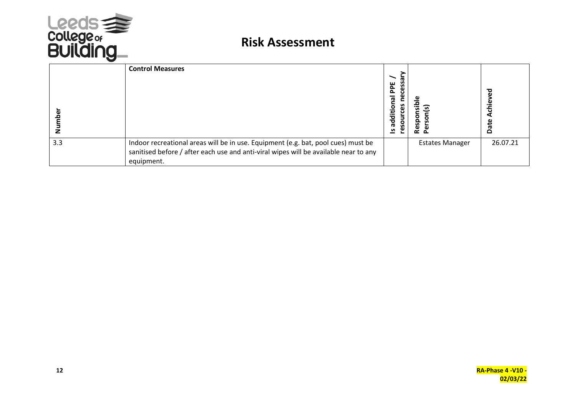

|     | <b>Control Measures</b>                                                                                                                                                                 | ິ<br>PPE<br>P<br>$\bar{\mathbf{e}}$<br>စိ<br>additio<br>sourc<br>ِهِ<br>౨ | ᄛ<br>วิ<br>esp<br>œ<br>$\Delta$ | ₻<br>Φ<br>chie<br>Date |
|-----|-----------------------------------------------------------------------------------------------------------------------------------------------------------------------------------------|---------------------------------------------------------------------------|---------------------------------|------------------------|
| 3.3 | Indoor recreational areas will be in use. Equipment (e.g. bat, pool cues) must be<br>sanitised before / after each use and anti-viral wipes will be available near to any<br>equipment. |                                                                           | <b>Estates Manager</b>          | 26.07.21               |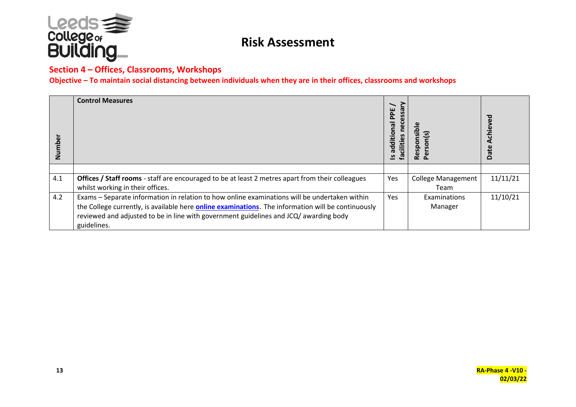

#### **Section 4 – Offices, Classrooms, Workshops**

**Objective – To maintain social distancing between individuals when they are in their offices, classrooms and workshops**

| mber | <b>Control Measures</b>                                                                                    | Ssary<br>PPE<br>o<br>additional<br>Ū<br>ğ<br><b>facilities</b><br><u> ဟ</u> | $\bullet$<br>Respon<br>$\mathbf{e}$ | Achieved<br>Date |
|------|------------------------------------------------------------------------------------------------------------|-----------------------------------------------------------------------------|-------------------------------------|------------------|
|      |                                                                                                            |                                                                             |                                     |                  |
| 4.1  | Offices / Staff rooms - staff are encouraged to be at least 2 metres apart from their colleagues           | Yes                                                                         | <b>College Management</b>           | 11/11/21         |
|      | whilst working in their offices.                                                                           |                                                                             | Team                                |                  |
| 4.2  | Exams - Separate information in relation to how online examinations will be undertaken within              | <b>Yes</b>                                                                  | Examinations                        | 11/10/21         |
|      | the College currently, is available here <b>online examinations</b> . The information will be continuously |                                                                             | Manager                             |                  |
|      | reviewed and adjusted to be in line with government guidelines and JCQ/ awarding body                      |                                                                             |                                     |                  |
|      | guidelines.                                                                                                |                                                                             |                                     |                  |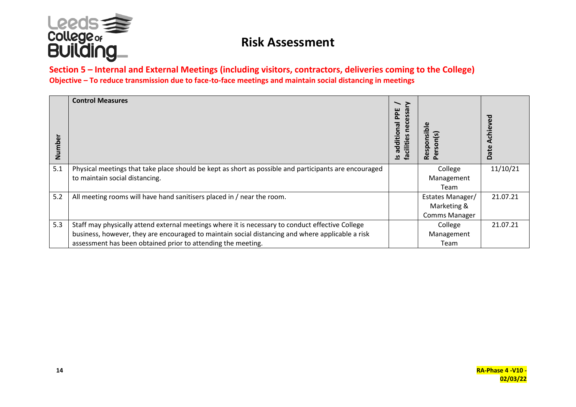

#### **Section 5 – Internal and External Meetings (including visitors, contractors, deliveries coming to the College) Objective – To reduce transmission due to face-to-face meetings and maintain social distancing in meetings**

| Number | <b>Control Measures</b>                                                                               | PPE<br>additional<br><b>cilities</b><br>౨ | es<br>C<br>$\circ$<br>$\Omega$<br>Res<br>ِهِ | Achieved<br>Date |
|--------|-------------------------------------------------------------------------------------------------------|-------------------------------------------|----------------------------------------------|------------------|
| 5.1    | Physical meetings that take place should be kept as short as possible and participants are encouraged |                                           | College                                      | 11/10/21         |
|        | to maintain social distancing.                                                                        |                                           | Management                                   |                  |
|        |                                                                                                       |                                           | Team                                         |                  |
| 5.2    | All meeting rooms will have hand sanitisers placed in / near the room.                                |                                           | Estates Manager/                             | 21.07.21         |
|        |                                                                                                       |                                           | Marketing &                                  |                  |
|        |                                                                                                       |                                           | <b>Comms Manager</b>                         |                  |
| 5.3    | Staff may physically attend external meetings where it is necessary to conduct effective College      |                                           | College                                      | 21.07.21         |
|        | business, however, they are encouraged to maintain social distancing and where applicable a risk      |                                           | Management                                   |                  |
|        | assessment has been obtained prior to attending the meeting.                                          |                                           | Team                                         |                  |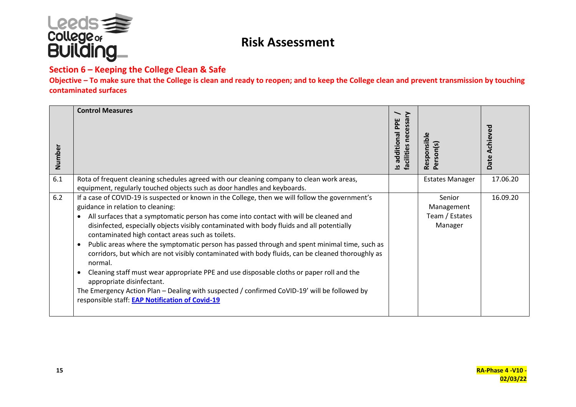

#### **Section 6 – Keeping the College Clean & Safe**

**Objective – To make sure that the College is clean and ready to reopen; and to keep the College clean and prevent transmission by touching contaminated surfaces**

| Number | <b>Control Measures</b>                                                                                                                                                                                                                                                                                                                                                                                                                                                                                                                                                                                                                                                                                                                                                                                                                                                                                           | $\geq$<br>additional PPE<br>necessa<br><b>facilities</b><br>ഛ | Responsible<br>Person(s)                          | Achieved<br>Date |
|--------|-------------------------------------------------------------------------------------------------------------------------------------------------------------------------------------------------------------------------------------------------------------------------------------------------------------------------------------------------------------------------------------------------------------------------------------------------------------------------------------------------------------------------------------------------------------------------------------------------------------------------------------------------------------------------------------------------------------------------------------------------------------------------------------------------------------------------------------------------------------------------------------------------------------------|---------------------------------------------------------------|---------------------------------------------------|------------------|
| 6.1    | Rota of frequent cleaning schedules agreed with our cleaning company to clean work areas,<br>equipment, regularly touched objects such as door handles and keyboards.                                                                                                                                                                                                                                                                                                                                                                                                                                                                                                                                                                                                                                                                                                                                             |                                                               | <b>Estates Manager</b>                            | 17.06.20         |
| 6.2    | If a case of COVID-19 is suspected or known in the College, then we will follow the government's<br>guidance in relation to cleaning:<br>All surfaces that a symptomatic person has come into contact with will be cleaned and<br>$\bullet$<br>disinfected, especially objects visibly contaminated with body fluids and all potentially<br>contaminated high contact areas such as toilets.<br>Public areas where the symptomatic person has passed through and spent minimal time, such as<br>$\bullet$<br>corridors, but which are not visibly contaminated with body fluids, can be cleaned thoroughly as<br>normal.<br>Cleaning staff must wear appropriate PPE and use disposable cloths or paper roll and the<br>$\bullet$<br>appropriate disinfectant.<br>The Emergency Action Plan - Dealing with suspected / confirmed CoVID-19' will be followed by<br>responsible staff: EAP Notification of Covid-19 |                                                               | Senior<br>Management<br>Team / Estates<br>Manager | 16.09.20         |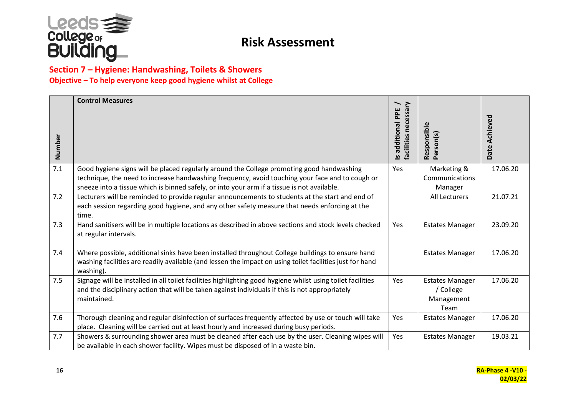

#### **Section 7 – Hygiene: Handwashing, Toilets & Showers Objective – To help everyone keep good hygiene whilst at College**

| Number | <b>Control Measures</b>                                                                                                                                                                                                                                                                     | ≳<br>Is additional PPE<br>facilities necessa | Responsible<br>Person(s)                                  | Date Achieved |
|--------|---------------------------------------------------------------------------------------------------------------------------------------------------------------------------------------------------------------------------------------------------------------------------------------------|----------------------------------------------|-----------------------------------------------------------|---------------|
| 7.1    | Good hygiene signs will be placed regularly around the College promoting good handwashing<br>technique, the need to increase handwashing frequency, avoid touching your face and to cough or<br>sneeze into a tissue which is binned safely, or into your arm if a tissue is not available. | Yes                                          | Marketing &<br>Communications<br>Manager                  | 17.06.20      |
| 7.2    | Lecturers will be reminded to provide regular announcements to students at the start and end of<br>each session regarding good hygiene, and any other safety measure that needs enforcing at the<br>time.                                                                                   |                                              | All Lecturers                                             | 21.07.21      |
| 7.3    | Hand sanitisers will be in multiple locations as described in above sections and stock levels checked<br>at regular intervals.                                                                                                                                                              | Yes                                          | <b>Estates Manager</b>                                    | 23.09.20      |
| 7.4    | Where possible, additional sinks have been installed throughout College buildings to ensure hand<br>washing facilities are readily available (and lessen the impact on using toilet facilities just for hand<br>washing).                                                                   |                                              | <b>Estates Manager</b>                                    | 17.06.20      |
| 7.5    | Signage will be installed in all toilet facilities highlighting good hygiene whilst using toilet facilities<br>and the disciplinary action that will be taken against individuals if this is not appropriately<br>maintained.                                                               | Yes                                          | <b>Estates Manager</b><br>/ College<br>Management<br>Team | 17.06.20      |
| 7.6    | Thorough cleaning and regular disinfection of surfaces frequently affected by use or touch will take<br>place. Cleaning will be carried out at least hourly and increased during busy periods.                                                                                              | Yes                                          | <b>Estates Manager</b>                                    | 17.06.20      |
| 7.7    | Showers & surrounding shower area must be cleaned after each use by the user. Cleaning wipes will<br>be available in each shower facility. Wipes must be disposed of in a waste bin.                                                                                                        | Yes                                          | <b>Estates Manager</b>                                    | 19.03.21      |